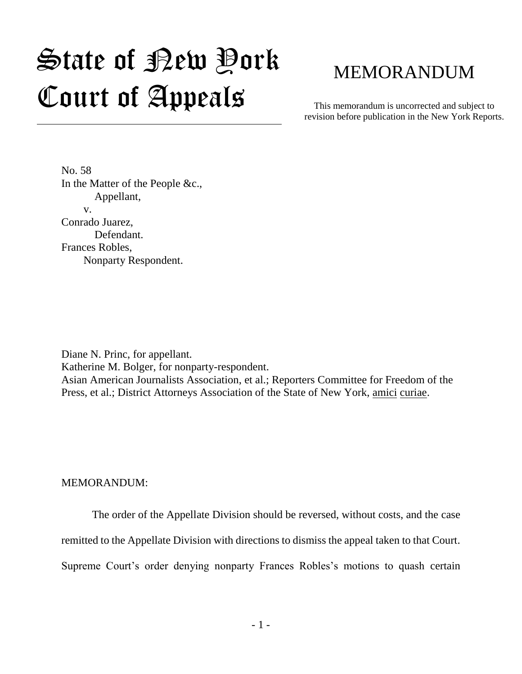# $\mathfrak{S}$ tate of Pew Pork Court of Appeals

# MEMORANDUM

This memorandum is uncorrected and subject to revision before publication in the New York Reports.

No. 58 In the Matter of the People &c., Appellant, v. Conrado Juarez, Defendant. Frances Robles, Nonparty Respondent.

Diane N. Princ, for appellant. Katherine M. Bolger, for nonparty-respondent. Asian American Journalists Association, et al.; Reporters Committee for Freedom of the Press, et al.; District Attorneys Association of the State of New York, amici curiae.

MEMORANDUM:

The order of the Appellate Division should be reversed, without costs, and the case

remitted to the Appellate Division with directions to dismiss the appeal taken to that Court.

Supreme Court's order denying nonparty Frances Robles's motions to quash certain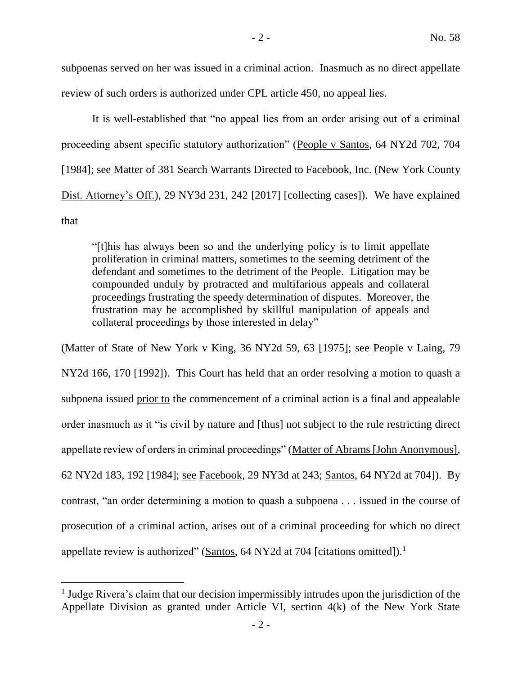subpoenas served on her was issued in a criminal action. Inasmuch as no direct appellate review of such orders is authorized under CPL article 450, no appeal lies.

It is well-established that "no appeal lies from an order arising out of a criminal proceeding absent specific statutory authorization" (People v Santos, 64 NY2d 702, 704 [1984]; see Matter of 381 Search Warrants Directed to Facebook, Inc. (New York County Dist. Attorney's Off.), 29 NY3d 231, 242 [2017] [collecting cases]). We have explained that

"[t]his has always been so and the underlying policy is to limit appellate proliferation in criminal matters, sometimes to the seeming detriment of the defendant and sometimes to the detriment of the People. Litigation may be compounded unduly by protracted and multifarious appeals and collateral proceedings frustrating the speedy determination of disputes. Moreover, the frustration may be accomplished by skillful manipulation of appeals and collateral proceedings by those interested in delay"

(Matter of State of New York v King, 36 NY2d 59, 63 [1975]; see People v Laing, 79 NY2d 166, 170 [1992]). This Court has held that an order resolving a motion to quash a subpoena issued prior to the commencement of a criminal action is a final and appealable order inasmuch as it "is civil by nature and [thus] not subject to the rule restricting direct appellate review of orders in criminal proceedings" (Matter of Abrams [John Anonymous], 62 NY2d 183, 192 [1984]; see Facebook, 29 NY3d at 243; Santos, 64 NY2d at 704]). By contrast, "an order determining a motion to quash a subpoena . . . issued in the course of prosecution of a criminal action, arises out of a criminal proceeding for which no direct appellate review is authorized" (Santos, 64 NY2d at 704 [citations omitted]).<sup>1</sup>

 $\overline{a}$ 

<sup>&</sup>lt;sup>1</sup> Judge Rivera's claim that our decision impermissibly intrudes upon the jurisdiction of the Appellate Division as granted under Article VI, section 4(k) of the New York State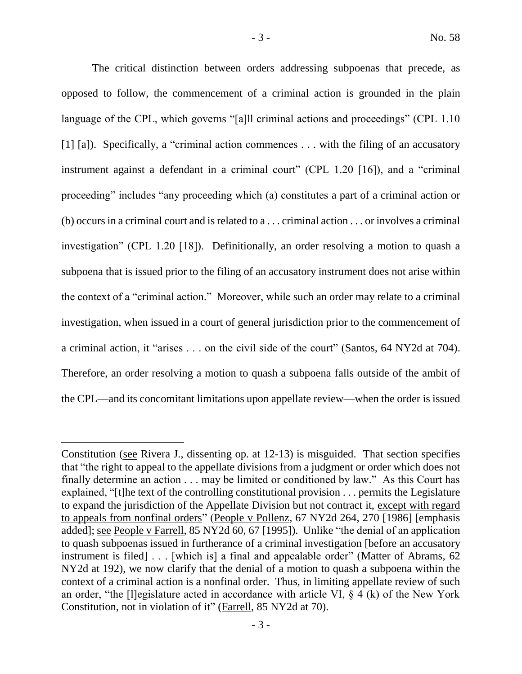The critical distinction between orders addressing subpoenas that precede, as opposed to follow, the commencement of a criminal action is grounded in the plain language of the CPL, which governs "[a]ll criminal actions and proceedings" (CPL 1.10) [1] [a]). Specifically, a "criminal action commences . . . with the filing of an accusatory instrument against a defendant in a criminal court" (CPL 1.20 [16]), and a "criminal proceeding" includes "any proceeding which (a) constitutes a part of a criminal action or (b) occurs in a criminal court and is related to a . . . criminal action . . . or involves a criminal investigation" (CPL 1.20 [18]). Definitionally, an order resolving a motion to quash a subpoena that is issued prior to the filing of an accusatory instrument does not arise within the context of a "criminal action." Moreover, while such an order may relate to a criminal investigation, when issued in a court of general jurisdiction prior to the commencement of a criminal action, it "arises . . . on the civil side of the court" (Santos, 64 NY2d at 704). Therefore, an order resolving a motion to quash a subpoena falls outside of the ambit of the CPL—and its concomitant limitations upon appellate review—when the order is issued

 $\overline{a}$ 

Constitution (see Rivera J., dissenting op. at 12-13) is misguided. That section specifies that "the right to appeal to the appellate divisions from a judgment or order which does not finally determine an action . . . may be limited or conditioned by law." As this Court has explained, "[t]he text of the controlling constitutional provision . . . permits the Legislature to expand the jurisdiction of the Appellate Division but not contract it, except with regard to appeals from nonfinal orders" (People v Pollenz, 67 NY2d 264, 270 [1986] [emphasis added]; see People v Farrell, 85 NY2d 60, 67 [1995]). Unlike "the denial of an application to quash subpoenas issued in furtherance of a criminal investigation [before an accusatory instrument is filed] . . . [which is] a final and appealable order" (Matter of Abrams, 62 NY2d at 192), we now clarify that the denial of a motion to quash a subpoena within the context of a criminal action is a nonfinal order. Thus, in limiting appellate review of such an order, "the [l]egislature acted in accordance with article VI,  $\S$  4 (k) of the New York Constitution, not in violation of it" (Farrell, 85 NY2d at 70).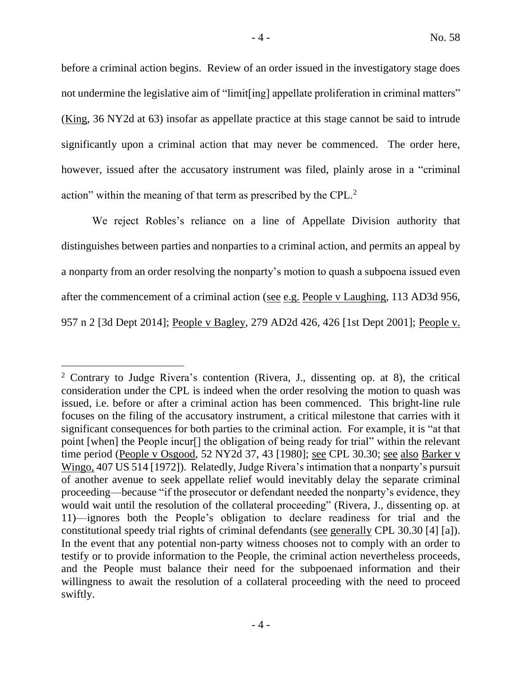before a criminal action begins. Review of an order issued in the investigatory stage does not undermine the legislative aim of "limit [ing] appellate proliferation in criminal matters" (King, 36 NY2d at 63) insofar as appellate practice at this stage cannot be said to intrude significantly upon a criminal action that may never be commenced. The order here, however, issued after the accusatory instrument was filed, plainly arose in a "criminal action" within the meaning of that term as prescribed by the CPL.<sup>2</sup>

We reject Robles's reliance on a line of Appellate Division authority that distinguishes between parties and nonparties to a criminal action, and permits an appeal by a nonparty from an order resolving the nonparty's motion to quash a subpoena issued even after the commencement of a criminal action (see e.g. People v Laughing, 113 AD3d 956, 957 n 2 [3d Dept 2014]; People v Bagley, 279 AD2d 426, 426 [1st Dept 2001]; People v.

<sup>&</sup>lt;sup>2</sup> Contrary to Judge Rivera's contention (Rivera, J., dissenting op. at 8), the critical consideration under the CPL is indeed when the order resolving the motion to quash was issued, i.e. before or after a criminal action has been commenced. This bright-line rule focuses on the filing of the accusatory instrument, a critical milestone that carries with it significant consequences for both parties to the criminal action. For example, it is "at that point [when] the People incur[] the obligation of being ready for trial" within the relevant time period (People v Osgood, 52 NY2d 37, 43 [1980]; see CPL 30.30; see also Barker v Wingo, 407 US 514 [1972]). Relatedly, Judge Rivera's intimation that a nonparty's pursuit of another avenue to seek appellate relief would inevitably delay the separate criminal proceeding—because "if the prosecutor or defendant needed the nonparty's evidence, they would wait until the resolution of the collateral proceeding" (Rivera, J., dissenting op. at 11)—ignores both the People's obligation to declare readiness for trial and the constitutional speedy trial rights of criminal defendants (see generally CPL 30.30 [4] [a]). In the event that any potential non-party witness chooses not to comply with an order to testify or to provide information to the People, the criminal action nevertheless proceeds, and the People must balance their need for the subpoenaed information and their willingness to await the resolution of a collateral proceeding with the need to proceed swiftly.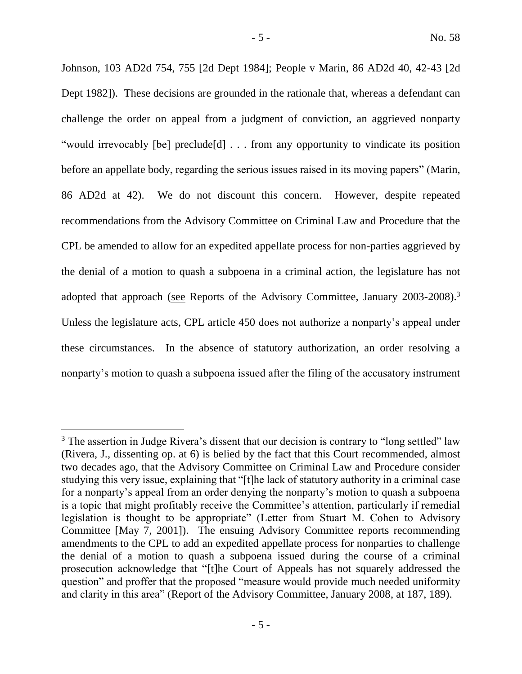Johnson, 103 AD2d 754, 755 [2d Dept 1984]; People v Marin, 86 AD2d 40, 42-43 [2d Dept 1982]). These decisions are grounded in the rationale that, whereas a defendant can challenge the order on appeal from a judgment of conviction, an aggrieved nonparty "would irrevocably [be] preclude[d] . . . from any opportunity to vindicate its position before an appellate body, regarding the serious issues raised in its moving papers" (Marin, 86 AD2d at 42). We do not discount this concern. However, despite repeated recommendations from the Advisory Committee on Criminal Law and Procedure that the CPL be amended to allow for an expedited appellate process for non-parties aggrieved by the denial of a motion to quash a subpoena in a criminal action, the legislature has not adopted that approach (see Reports of the Advisory Committee, January 2003-2008).<sup>3</sup> Unless the legislature acts, CPL article 450 does not authorize a nonparty's appeal under these circumstances. In the absence of statutory authorization, an order resolving a nonparty's motion to quash a subpoena issued after the filing of the accusatory instrument

 $\overline{a}$ 

 $3$  The assertion in Judge Rivera's dissent that our decision is contrary to "long settled" law (Rivera, J., dissenting op. at 6) is belied by the fact that this Court recommended, almost two decades ago, that the Advisory Committee on Criminal Law and Procedure consider studying this very issue, explaining that "[t]he lack of statutory authority in a criminal case for a nonparty's appeal from an order denying the nonparty's motion to quash a subpoena is a topic that might profitably receive the Committee's attention, particularly if remedial legislation is thought to be appropriate" (Letter from Stuart M. Cohen to Advisory Committee [May 7, 2001]). The ensuing Advisory Committee reports recommending amendments to the CPL to add an expedited appellate process for nonparties to challenge the denial of a motion to quash a subpoena issued during the course of a criminal prosecution acknowledge that "[t]he Court of Appeals has not squarely addressed the question" and proffer that the proposed "measure would provide much needed uniformity and clarity in this area" (Report of the Advisory Committee, January 2008, at 187, 189).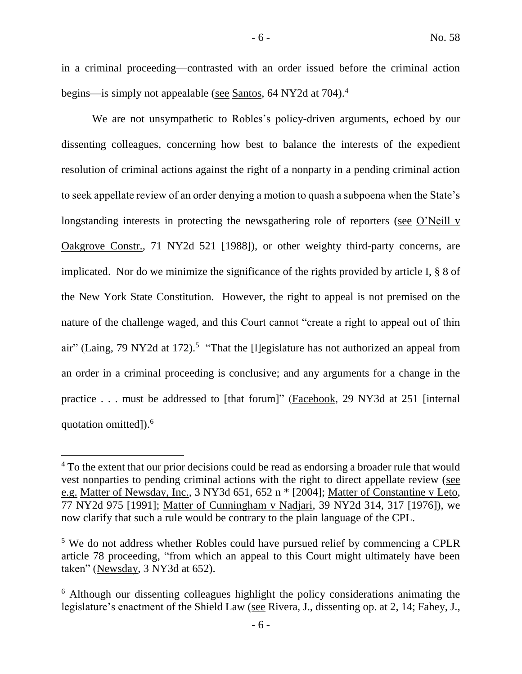in a criminal proceeding—contrasted with an order issued before the criminal action begins—is simply not appealable (see Santos, 64 NY2d at 704).<sup>4</sup>

We are not unsympathetic to Robles's policy-driven arguments, echoed by our dissenting colleagues, concerning how best to balance the interests of the expedient resolution of criminal actions against the right of a nonparty in a pending criminal action to seek appellate review of an order denying a motion to quash a subpoena when the State's longstanding interests in protecting the newsgathering role of reporters (see O'Neill v Oakgrove Constr., 71 NY2d 521 [1988]), or other weighty third-party concerns, are implicated. Nor do we minimize the significance of the rights provided by article I, § 8 of the New York State Constitution. However, the right to appeal is not premised on the nature of the challenge waged, and this Court cannot "create a right to appeal out of thin air" (Laing, 79 NY2d at 172).<sup>5</sup> "That the [I]egislature has not authorized an appeal from an order in a criminal proceeding is conclusive; and any arguments for a change in the practice . . . must be addressed to [that forum]" (Facebook, 29 NY3d at 251 [internal quotation omitted]).<sup>6</sup>

<sup>&</sup>lt;sup>4</sup> To the extent that our prior decisions could be read as endorsing a broader rule that would vest nonparties to pending criminal actions with the right to direct appellate review (see e.g. Matter of Newsday, Inc., 3 NY3d 651, 652 n \* [2004]; Matter of Constantine v Leto, 77 NY2d 975 [1991]; Matter of Cunningham v Nadjari, 39 NY2d 314, 317 [1976]), we now clarify that such a rule would be contrary to the plain language of the CPL.

<sup>&</sup>lt;sup>5</sup> We do not address whether Robles could have pursued relief by commencing a CPLR article 78 proceeding, "from which an appeal to this Court might ultimately have been taken" (Newsday, 3 NY3d at 652).

<sup>&</sup>lt;sup>6</sup> Although our dissenting colleagues highlight the policy considerations animating the legislature's enactment of the Shield Law (see Rivera, J., dissenting op. at 2, 14; Fahey, J.,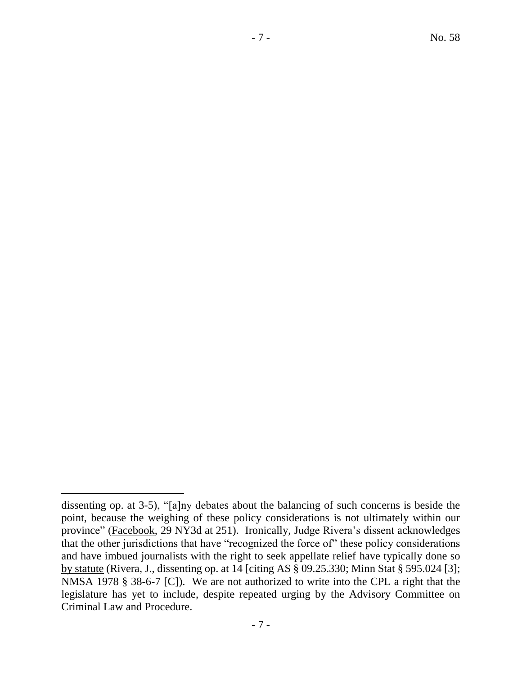$\overline{a}$ 

dissenting op. at 3-5), "[a]ny debates about the balancing of such concerns is beside the point, because the weighing of these policy considerations is not ultimately within our province" (Facebook, 29 NY3d at 251). Ironically, Judge Rivera's dissent acknowledges that the other jurisdictions that have "recognized the force of" these policy considerations and have imbued journalists with the right to seek appellate relief have typically done so by statute (Rivera, J., dissenting op. at 14 [citing AS § 09.25.330; Minn Stat § 595.024 [3]; NMSA 1978 § 38-6-7 [C]). We are not authorized to write into the CPL a right that the legislature has yet to include, despite repeated urging by the Advisory Committee on Criminal Law and Procedure.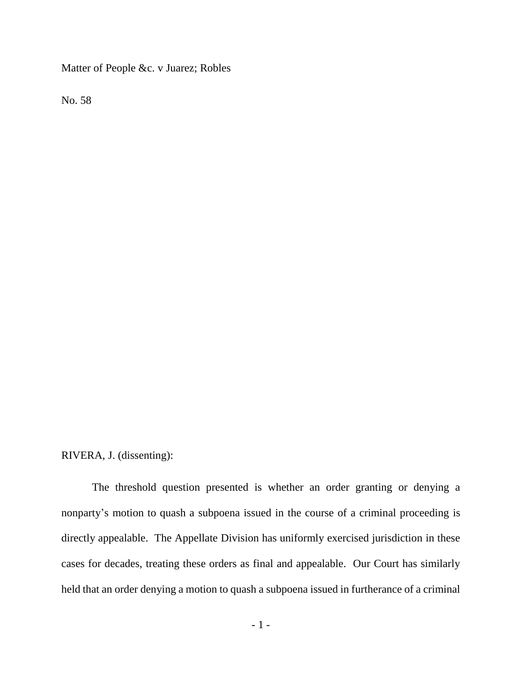Matter of People &c. v Juarez; Robles

No. 58

# RIVERA, J. (dissenting):

The threshold question presented is whether an order granting or denying a nonparty's motion to quash a subpoena issued in the course of a criminal proceeding is directly appealable. The Appellate Division has uniformly exercised jurisdiction in these cases for decades, treating these orders as final and appealable. Our Court has similarly held that an order denying a motion to quash a subpoena issued in furtherance of a criminal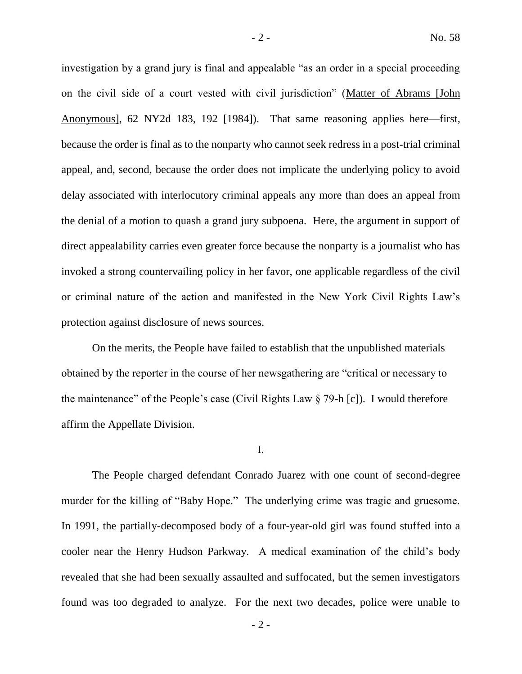investigation by a grand jury is final and appealable "as an order in a special proceeding on the civil side of a court vested with civil jurisdiction" (Matter of Abrams [John Anonymous], 62 NY2d 183, 192 [1984]). That same reasoning applies here—first, because the order is final as to the nonparty who cannot seek redress in a post-trial criminal appeal, and, second, because the order does not implicate the underlying policy to avoid delay associated with interlocutory criminal appeals any more than does an appeal from the denial of a motion to quash a grand jury subpoena. Here, the argument in support of direct appealability carries even greater force because the nonparty is a journalist who has invoked a strong countervailing policy in her favor, one applicable regardless of the civil or criminal nature of the action and manifested in the New York Civil Rights Law's protection against disclosure of news sources.

On the merits, the People have failed to establish that the unpublished materials obtained by the reporter in the course of her newsgathering are "critical or necessary to the maintenance" of the People's case (Civil Rights Law § 79-h [c]). I would therefore affirm the Appellate Division.

I.

The People charged defendant Conrado Juarez with one count of second-degree murder for the killing of "Baby Hope." The underlying crime was tragic and gruesome. In 1991, the partially-decomposed body of a four-year-old girl was found stuffed into a cooler near the Henry Hudson Parkway. A medical examination of the child's body revealed that she had been sexually assaulted and suffocated, but the semen investigators found was too degraded to analyze. For the next two decades, police were unable to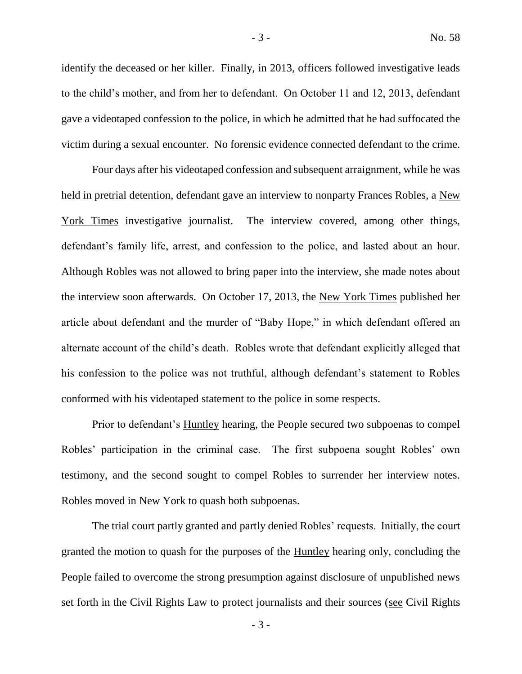identify the deceased or her killer. Finally, in 2013, officers followed investigative leads to the child's mother, and from her to defendant. On October 11 and 12, 2013, defendant gave a videotaped confession to the police, in which he admitted that he had suffocated the victim during a sexual encounter. No forensic evidence connected defendant to the crime.

Four days after his videotaped confession and subsequent arraignment, while he was held in pretrial detention, defendant gave an interview to nonparty Frances Robles, a New York Times investigative journalist. The interview covered, among other things, defendant's family life, arrest, and confession to the police, and lasted about an hour. Although Robles was not allowed to bring paper into the interview, she made notes about the interview soon afterwards. On October 17, 2013, the New York Times published her article about defendant and the murder of "Baby Hope," in which defendant offered an alternate account of the child's death. Robles wrote that defendant explicitly alleged that his confession to the police was not truthful, although defendant's statement to Robles conformed with his videotaped statement to the police in some respects.

Prior to defendant's Huntley hearing, the People secured two subpoenas to compel Robles' participation in the criminal case. The first subpoena sought Robles' own testimony, and the second sought to compel Robles to surrender her interview notes. Robles moved in New York to quash both subpoenas.

The trial court partly granted and partly denied Robles' requests. Initially, the court granted the motion to quash for the purposes of the **Huntley** hearing only, concluding the People failed to overcome the strong presumption against disclosure of unpublished news set forth in the Civil Rights Law to protect journalists and their sources (see Civil Rights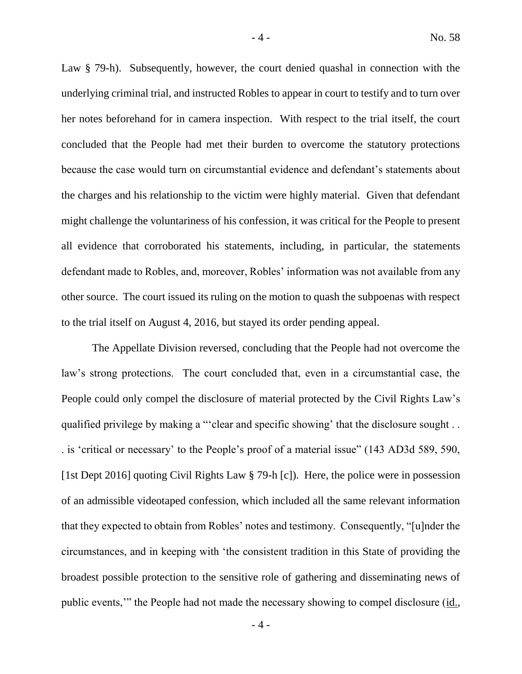Law § 79-h). Subsequently, however, the court denied quashal in connection with the underlying criminal trial, and instructed Robles to appear in court to testify and to turn over her notes beforehand for in camera inspection. With respect to the trial itself, the court concluded that the People had met their burden to overcome the statutory protections because the case would turn on circumstantial evidence and defendant's statements about the charges and his relationship to the victim were highly material. Given that defendant might challenge the voluntariness of his confession, it was critical for the People to present all evidence that corroborated his statements, including, in particular, the statements defendant made to Robles, and, moreover, Robles' information was not available from any other source. The court issued its ruling on the motion to quash the subpoenas with respect to the trial itself on August 4, 2016, but stayed its order pending appeal.

The Appellate Division reversed, concluding that the People had not overcome the law's strong protections. The court concluded that, even in a circumstantial case, the People could only compel the disclosure of material protected by the Civil Rights Law's qualified privilege by making a "'clear and specific showing' that the disclosure sought . . . is 'critical or necessary' to the People's proof of a material issue" (143 AD3d 589, 590, [1st Dept 2016] quoting Civil Rights Law § 79-h [c]). Here, the police were in possession of an admissible videotaped confession, which included all the same relevant information that they expected to obtain from Robles' notes and testimony. Consequently, "[u]nder the circumstances, and in keeping with 'the consistent tradition in this State of providing the broadest possible protection to the sensitive role of gathering and disseminating news of public events,'" the People had not made the necessary showing to compel disclosure (id.,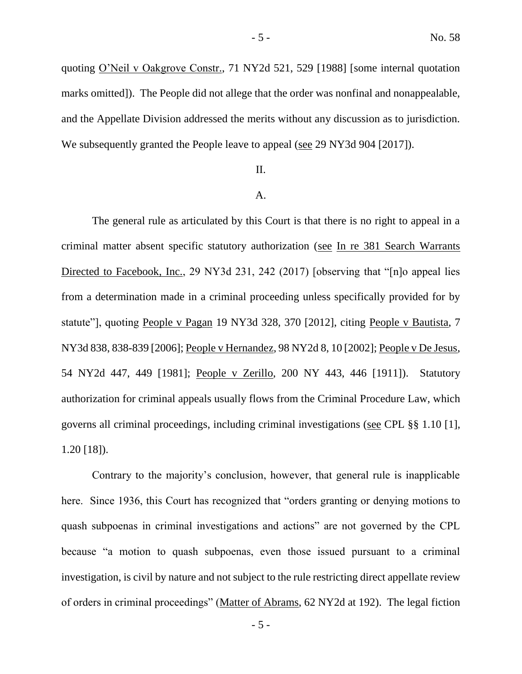quoting O'Neil v Oakgrove Constr., 71 NY2d 521, 529 [1988] [some internal quotation marks omitted]). The People did not allege that the order was nonfinal and nonappealable, and the Appellate Division addressed the merits without any discussion as to jurisdiction. We subsequently granted the People leave to appeal (see 29 NY3d 904 [2017]).

## II.

### A.

The general rule as articulated by this Court is that there is no right to appeal in a criminal matter absent specific statutory authorization (see In re 381 Search Warrants Directed to Facebook, Inc., 29 NY3d 231, 242 (2017) [observing that "[n]o appeal lies from a determination made in a criminal proceeding unless specifically provided for by statute"], quoting People v Pagan 19 NY3d 328, 370 [2012], citing People v Bautista, 7 NY3d 838, 838-839 [2006]; People v Hernandez, 98 NY2d 8, 10 [2002]; People v De Jesus, 54 NY2d 447, 449 [1981]; People v Zerillo, 200 NY 443, 446 [1911]). Statutory authorization for criminal appeals usually flows from the Criminal Procedure Law, which governs all criminal proceedings, including criminal investigations (see CPL §§ 1.10 [1], 1.20 [18]).

Contrary to the majority's conclusion, however, that general rule is inapplicable here. Since 1936, this Court has recognized that "orders granting or denying motions to quash subpoenas in criminal investigations and actions" are not governed by the CPL because "a motion to quash subpoenas, even those issued pursuant to a criminal investigation, is civil by nature and not subject to the rule restricting direct appellate review of orders in criminal proceedings" (Matter of Abrams, 62 NY2d at 192). The legal fiction

- 5 -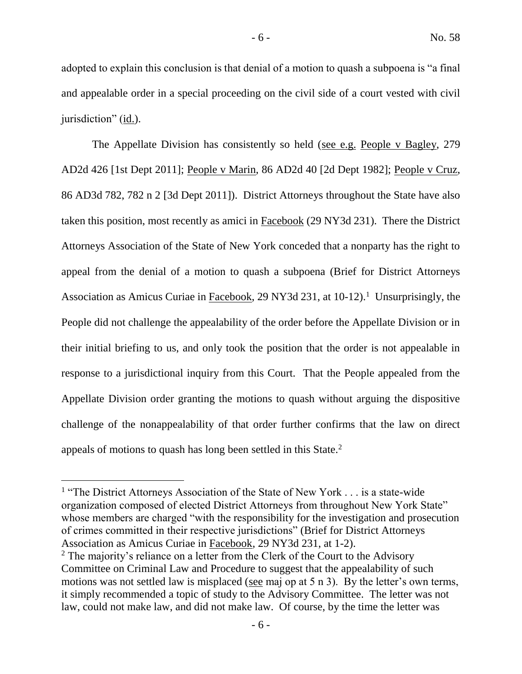adopted to explain this conclusion is that denial of a motion to quash a subpoena is "a final and appealable order in a special proceeding on the civil side of a court vested with civil jurisdiction" (id.).

The Appellate Division has consistently so held (see e.g. People v Bagley, 279) AD2d 426 [1st Dept 2011]; People v Marin, 86 AD2d 40 [2d Dept 1982]; People v Cruz, 86 AD3d 782, 782 n 2 [3d Dept 2011]). District Attorneys throughout the State have also taken this position, most recently as amici in Facebook (29 NY3d 231). There the District Attorneys Association of the State of New York conceded that a nonparty has the right to appeal from the denial of a motion to quash a subpoena (Brief for District Attorneys Association as Amicus Curiae in Facebook, 29 NY3d 231, at 10-12).<sup>1</sup> Unsurprisingly, the People did not challenge the appealability of the order before the Appellate Division or in their initial briefing to us, and only took the position that the order is not appealable in response to a jurisdictional inquiry from this Court. That the People appealed from the Appellate Division order granting the motions to quash without arguing the dispositive challenge of the nonappealability of that order further confirms that the law on direct appeals of motions to quash has long been settled in this State.<sup>2</sup>

 $\overline{a}$ 

<sup>&</sup>lt;sup>1</sup> "The District Attorneys Association of the State of New York . . . is a state-wide organization composed of elected District Attorneys from throughout New York State" whose members are charged "with the responsibility for the investigation and prosecution of crimes committed in their respective jurisdictions" (Brief for District Attorneys Association as Amicus Curiae in Facebook, 29 NY3d 231, at 1-2).

<sup>&</sup>lt;sup>2</sup> The majority's reliance on a letter from the Clerk of the Court to the Advisory Committee on Criminal Law and Procedure to suggest that the appealability of such motions was not settled law is misplaced (see maj op at 5 n 3). By the letter's own terms, it simply recommended a topic of study to the Advisory Committee. The letter was not law, could not make law, and did not make law. Of course, by the time the letter was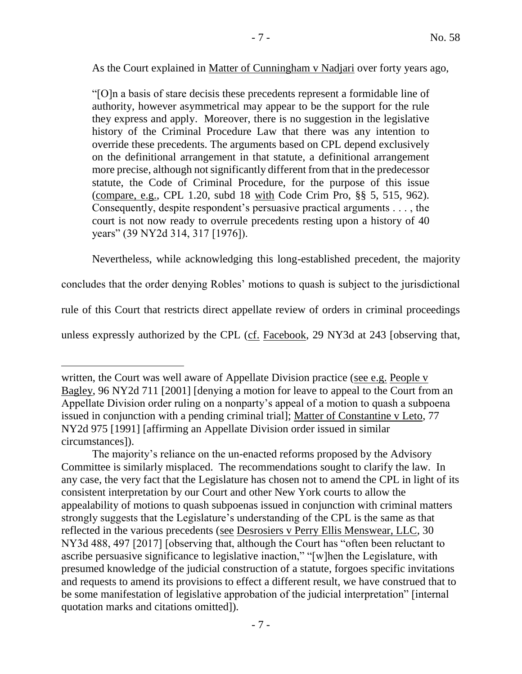As the Court explained in Matter of Cunningham v Nadjari over forty years ago,

"[O]n a basis of stare decisis these precedents represent a formidable line of authority, however asymmetrical may appear to be the support for the rule they express and apply. Moreover, there is no suggestion in the legislative history of the Criminal Procedure Law that there was any intention to override these precedents. The arguments based on CPL depend exclusively on the definitional arrangement in that statute, a definitional arrangement more precise, although not significantly different from that in the predecessor statute, the Code of Criminal Procedure, for the purpose of this issue (compare, e.g., CPL 1.20, subd 18 with Code Crim Pro, §§ 5, 515, 962). Consequently, despite respondent's persuasive practical arguments . . . , the court is not now ready to overrule precedents resting upon a history of 40 years" (39 NY2d 314, 317 [1976]).

Nevertheless, while acknowledging this long-established precedent, the majority

concludes that the order denying Robles' motions to quash is subject to the jurisdictional

rule of this Court that restricts direct appellate review of orders in criminal proceedings

unless expressly authorized by the CPL (cf. Facebook, 29 NY3d at 243 [observing that,

written, the Court was well aware of Appellate Division practice (see e.g. People v Bagley, 96 NY2d 711 [2001] [denying a motion for leave to appeal to the Court from an Appellate Division order ruling on a nonparty's appeal of a motion to quash a subpoena issued in conjunction with a pending criminal trial]; Matter of Constantine v Leto, 77 NY2d 975 [1991] [affirming an Appellate Division order issued in similar circumstances]).

The majority's reliance on the un-enacted reforms proposed by the Advisory Committee is similarly misplaced. The recommendations sought to clarify the law. In any case, the very fact that the Legislature has chosen not to amend the CPL in light of its consistent interpretation by our Court and other New York courts to allow the appealability of motions to quash subpoenas issued in conjunction with criminal matters strongly suggests that the Legislature's understanding of the CPL is the same as that reflected in the various precedents (see Desrosiers v Perry Ellis Menswear, LLC, 30 NY3d 488, 497 [2017] [observing that, although the Court has "often been reluctant to ascribe persuasive significance to legislative inaction," "[w]hen the Legislature, with presumed knowledge of the judicial construction of a statute, forgoes specific invitations and requests to amend its provisions to effect a different result, we have construed that to be some manifestation of legislative approbation of the judicial interpretation" [internal quotation marks and citations omitted]).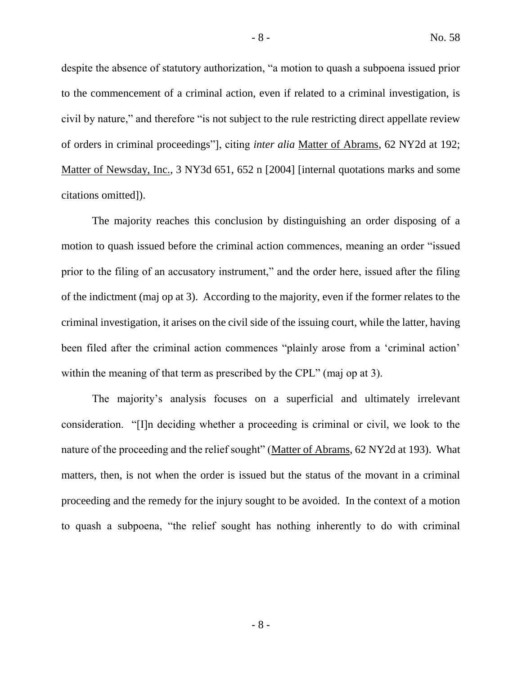despite the absence of statutory authorization, "a motion to quash a subpoena issued prior to the commencement of a criminal action, even if related to a criminal investigation, is civil by nature," and therefore "is not subject to the rule restricting direct appellate review of orders in criminal proceedings"], citing *inter alia* Matter of Abrams, 62 NY2d at 192; Matter of Newsday, Inc., 3 NY3d 651, 652 n [2004] [internal quotations marks and some citations omitted]).

The majority reaches this conclusion by distinguishing an order disposing of a motion to quash issued before the criminal action commences, meaning an order "issued prior to the filing of an accusatory instrument," and the order here, issued after the filing of the indictment (maj op at 3). According to the majority, even if the former relates to the criminal investigation, it arises on the civil side of the issuing court, while the latter, having been filed after the criminal action commences "plainly arose from a 'criminal action' within the meaning of that term as prescribed by the CPL" (maj op at 3).

The majority's analysis focuses on a superficial and ultimately irrelevant consideration. "[I]n deciding whether a proceeding is criminal or civil, we look to the nature of the proceeding and the relief sought" (Matter of Abrams, 62 NY2d at 193). What matters, then, is not when the order is issued but the status of the movant in a criminal proceeding and the remedy for the injury sought to be avoided. In the context of a motion to quash a subpoena, "the relief sought has nothing inherently to do with criminal

- 8 -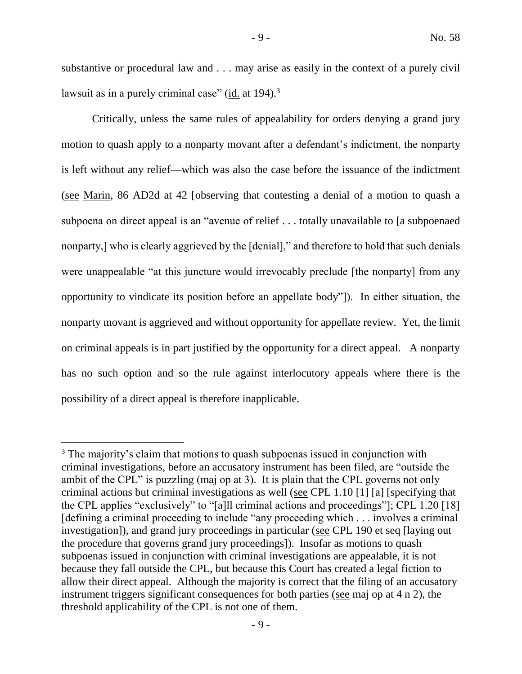substantive or procedural law and . . . may arise as easily in the context of a purely civil lawsuit as in a purely criminal case" (id. at  $194$ ).<sup>3</sup>

Critically, unless the same rules of appealability for orders denying a grand jury motion to quash apply to a nonparty movant after a defendant's indictment, the nonparty is left without any relief—which was also the case before the issuance of the indictment (see Marin, 86 AD2d at 42 [observing that contesting a denial of a motion to quash a subpoena on direct appeal is an "avenue of relief . . . totally unavailable to [a subpoenaed nonparty,] who is clearly aggrieved by the [denial]," and therefore to hold that such denials were unappealable "at this juncture would irrevocably preclude [the nonparty] from any opportunity to vindicate its position before an appellate body"]). In either situation, the nonparty movant is aggrieved and without opportunity for appellate review. Yet, the limit on criminal appeals is in part justified by the opportunity for a direct appeal. A nonparty has no such option and so the rule against interlocutory appeals where there is the possibility of a direct appeal is therefore inapplicable.

 $\overline{a}$ 

<sup>&</sup>lt;sup>3</sup> The majority's claim that motions to quash subpoenas issued in conjunction with criminal investigations, before an accusatory instrument has been filed, are "outside the ambit of the CPL" is puzzling (maj op at 3). It is plain that the CPL governs not only criminal actions but criminal investigations as well (see CPL 1.10 [1] [a] [specifying that the CPL applies "exclusively" to "[a]ll criminal actions and proceedings"]; CPL 1.20 [18] [defining a criminal proceeding to include "any proceeding which . . . involves a criminal investigation]), and grand jury proceedings in particular (see CPL 190 et seq [laying out the procedure that governs grand jury proceedings]). Insofar as motions to quash subpoenas issued in conjunction with criminal investigations are appealable, it is not because they fall outside the CPL, but because this Court has created a legal fiction to allow their direct appeal. Although the majority is correct that the filing of an accusatory instrument triggers significant consequences for both parties (see maj op at 4 n 2), the threshold applicability of the CPL is not one of them.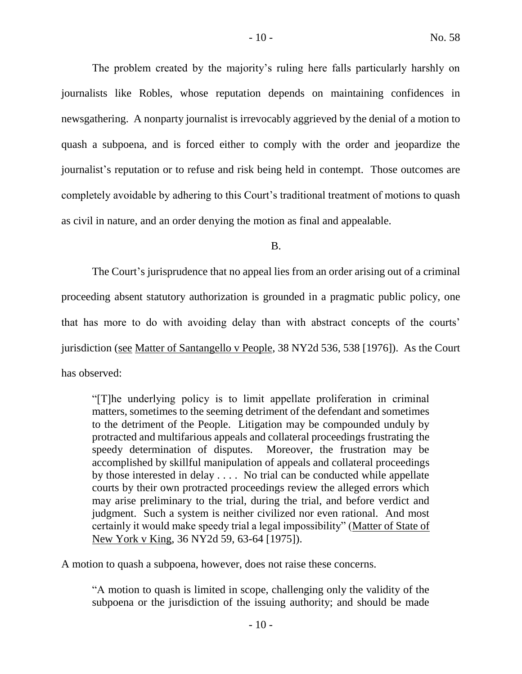The problem created by the majority's ruling here falls particularly harshly on journalists like Robles, whose reputation depends on maintaining confidences in newsgathering. A nonparty journalist is irrevocably aggrieved by the denial of a motion to quash a subpoena, and is forced either to comply with the order and jeopardize the journalist's reputation or to refuse and risk being held in contempt. Those outcomes are completely avoidable by adhering to this Court's traditional treatment of motions to quash as civil in nature, and an order denying the motion as final and appealable.

B.

The Court's jurisprudence that no appeal lies from an order arising out of a criminal proceeding absent statutory authorization is grounded in a pragmatic public policy, one that has more to do with avoiding delay than with abstract concepts of the courts' jurisdiction (see Matter of Santangello v People, 38 NY2d 536, 538 [1976]). As the Court has observed:

"[T]he underlying policy is to limit appellate proliferation in criminal matters, sometimes to the seeming detriment of the defendant and sometimes to the detriment of the People. Litigation may be compounded unduly by protracted and multifarious appeals and collateral proceedings frustrating the speedy determination of disputes. Moreover, the frustration may be accomplished by skillful manipulation of appeals and collateral proceedings by those interested in delay . . . . No trial can be conducted while appellate courts by their own protracted proceedings review the alleged errors which may arise preliminary to the trial, during the trial, and before verdict and judgment. Such a system is neither civilized nor even rational. And most certainly it would make speedy trial a legal impossibility" (Matter of State of New York v King, 36 NY2d 59, 63-64 [1975]).

A motion to quash a subpoena, however, does not raise these concerns.

"A motion to quash is limited in scope, challenging only the validity of the subpoena or the jurisdiction of the issuing authority; and should be made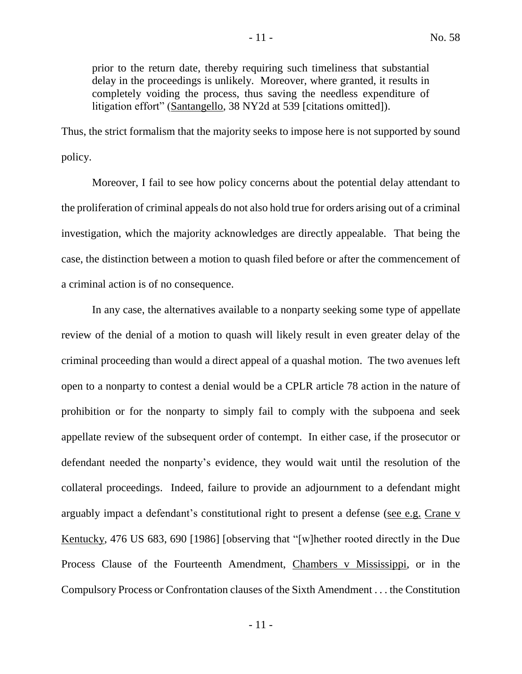prior to the return date, thereby requiring such timeliness that substantial delay in the proceedings is unlikely. Moreover, where granted, it results in completely voiding the process, thus saving the needless expenditure of litigation effort" (Santangello, 38 NY2d at 539 [citations omitted]).

Thus, the strict formalism that the majority seeks to impose here is not supported by sound policy.

Moreover, I fail to see how policy concerns about the potential delay attendant to the proliferation of criminal appeals do not also hold true for orders arising out of a criminal investigation, which the majority acknowledges are directly appealable. That being the case, the distinction between a motion to quash filed before or after the commencement of a criminal action is of no consequence.

In any case, the alternatives available to a nonparty seeking some type of appellate review of the denial of a motion to quash will likely result in even greater delay of the criminal proceeding than would a direct appeal of a quashal motion. The two avenues left open to a nonparty to contest a denial would be a CPLR article 78 action in the nature of prohibition or for the nonparty to simply fail to comply with the subpoena and seek appellate review of the subsequent order of contempt. In either case, if the prosecutor or defendant needed the nonparty's evidence, they would wait until the resolution of the collateral proceedings. Indeed, failure to provide an adjournment to a defendant might arguably impact a defendant's constitutional right to present a defense (see e.g. Crane v Kentucky, 476 US 683, 690 [1986] [observing that "[w]hether rooted directly in the Due Process Clause of the Fourteenth Amendment, Chambers v Mississippi, or in the Compulsory Process or Confrontation clauses of the Sixth Amendment . . . the Constitution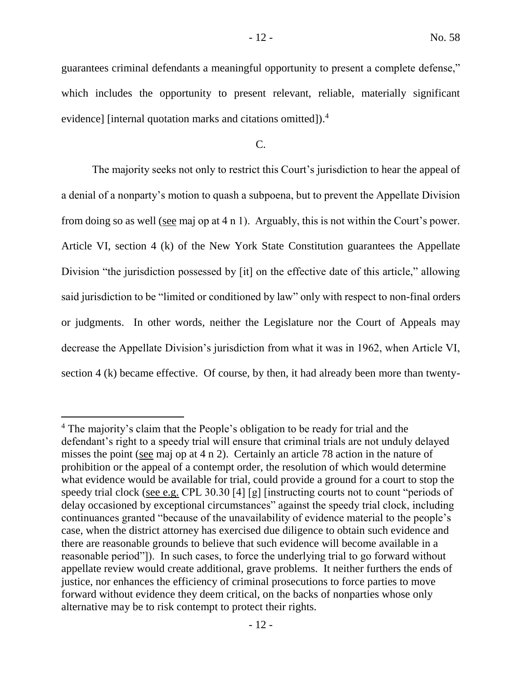guarantees criminal defendants a meaningful opportunity to present a complete defense," which includes the opportunity to present relevant, reliable, materially significant

C.

evidence] [internal quotation marks and citations omitted]).<sup>4</sup>

 $\overline{a}$ 

The majority seeks not only to restrict this Court's jurisdiction to hear the appeal of a denial of a nonparty's motion to quash a subpoena, but to prevent the Appellate Division from doing so as well (see maj op at 4 n 1). Arguably, this is not within the Court's power. Article VI, section 4 (k) of the New York State Constitution guarantees the Appellate Division "the jurisdiction possessed by [it] on the effective date of this article," allowing said jurisdiction to be "limited or conditioned by law" only with respect to non-final orders or judgments. In other words, neither the Legislature nor the Court of Appeals may decrease the Appellate Division's jurisdiction from what it was in 1962, when Article VI, section 4 (k) became effective. Of course, by then, it had already been more than twenty-

<sup>&</sup>lt;sup>4</sup> The majority's claim that the People's obligation to be ready for trial and the defendant's right to a speedy trial will ensure that criminal trials are not unduly delayed misses the point (see maj op at 4 n 2). Certainly an article 78 action in the nature of prohibition or the appeal of a contempt order, the resolution of which would determine what evidence would be available for trial, could provide a ground for a court to stop the speedy trial clock (see e.g. CPL 30.30 [4] [g] [instructing courts not to count "periods of delay occasioned by exceptional circumstances" against the speedy trial clock, including continuances granted "because of the unavailability of evidence material to the people's case, when the district attorney has exercised due diligence to obtain such evidence and there are reasonable grounds to believe that such evidence will become available in a reasonable period"]). In such cases, to force the underlying trial to go forward without appellate review would create additional, grave problems. It neither furthers the ends of justice, nor enhances the efficiency of criminal prosecutions to force parties to move forward without evidence they deem critical, on the backs of nonparties whose only alternative may be to risk contempt to protect their rights.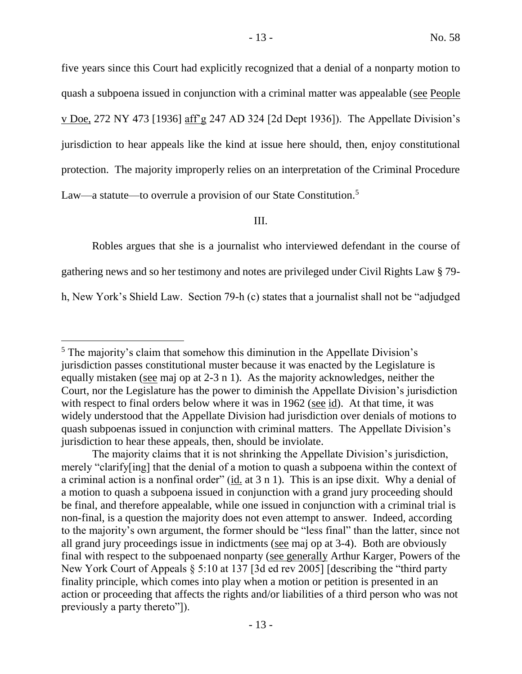five years since this Court had explicitly recognized that a denial of a nonparty motion to quash a subpoena issued in conjunction with a criminal matter was appealable (see People v Doe, 272 NY 473 [1936] aff'g 247 AD 324 [2d Dept 1936]). The Appellate Division's jurisdiction to hear appeals like the kind at issue here should, then, enjoy constitutional protection. The majority improperly relies on an interpretation of the Criminal Procedure Law—a statute—to overrule a provision of our State Constitution.<sup>5</sup>

III.

Robles argues that she is a journalist who interviewed defendant in the course of

gathering news and so her testimony and notes are privileged under Civil Rights Law § 79-

h, New York's Shield Law. Section 79-h (c) states that a journalist shall not be "adjudged

<sup>5</sup> The majority's claim that somehow this diminution in the Appellate Division's jurisdiction passes constitutional muster because it was enacted by the Legislature is equally mistaken (see maj op at 2-3 n 1). As the majority acknowledges, neither the Court, nor the Legislature has the power to diminish the Appellate Division's jurisdiction with respect to final orders below where it was in 1962 (see id). At that time, it was widely understood that the Appellate Division had jurisdiction over denials of motions to quash subpoenas issued in conjunction with criminal matters. The Appellate Division's jurisdiction to hear these appeals, then, should be inviolate.

The majority claims that it is not shrinking the Appellate Division's jurisdiction, merely "clarify[ing] that the denial of a motion to quash a subpoena within the context of a criminal action is a nonfinal order" (id. at 3 n 1). This is an ipse dixit. Why a denial of a motion to quash a subpoena issued in conjunction with a grand jury proceeding should be final, and therefore appealable, while one issued in conjunction with a criminal trial is non-final, is a question the majority does not even attempt to answer. Indeed, according to the majority's own argument, the former should be "less final" than the latter, since not all grand jury proceedings issue in indictments (see maj op at 3-4). Both are obviously final with respect to the subpoenaed nonparty (see generally Arthur Karger, Powers of the New York Court of Appeals § 5:10 at 137 [3d ed rev 2005] [describing the "third party finality principle, which comes into play when a motion or petition is presented in an action or proceeding that affects the rights and/or liabilities of a third person who was not previously a party thereto"]).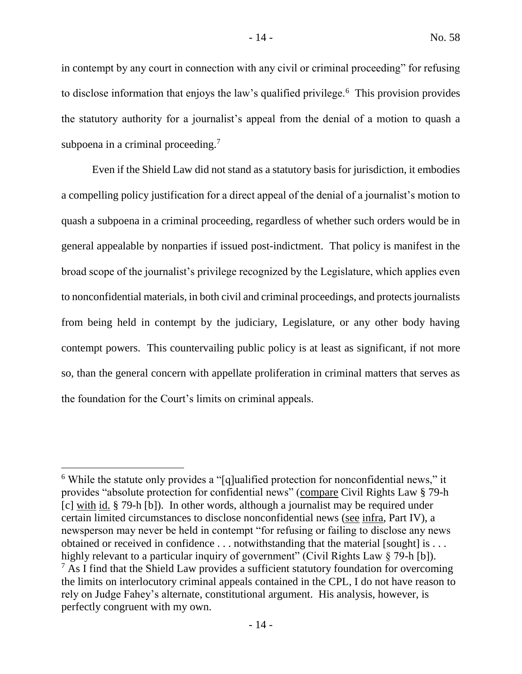in contempt by any court in connection with any civil or criminal proceeding" for refusing to disclose information that enjoys the law's qualified privilege.<sup>6</sup> This provision provides the statutory authority for a journalist's appeal from the denial of a motion to quash a subpoena in a criminal proceeding.<sup>7</sup>

Even if the Shield Law did not stand as a statutory basis for jurisdiction, it embodies a compelling policy justification for a direct appeal of the denial of a journalist's motion to quash a subpoena in a criminal proceeding, regardless of whether such orders would be in general appealable by nonparties if issued post-indictment. That policy is manifest in the broad scope of the journalist's privilege recognized by the Legislature, which applies even to nonconfidential materials, in both civil and criminal proceedings, and protects journalists from being held in contempt by the judiciary, Legislature, or any other body having contempt powers. This countervailing public policy is at least as significant, if not more so, than the general concern with appellate proliferation in criminal matters that serves as the foundation for the Court's limits on criminal appeals.

<sup>6</sup> While the statute only provides a "[q]ualified protection for nonconfidential news," it provides "absolute protection for confidential news" (compare Civil Rights Law § 79-h [c] with id. § 79-h [b]). In other words, although a journalist may be required under certain limited circumstances to disclose nonconfidential news (see infra, Part IV), a newsperson may never be held in contempt "for refusing or failing to disclose any news obtained or received in confidence . . . notwithstanding that the material [sought] is . . . highly relevant to a particular inquiry of government" (Civil Rights Law § 79-h [b]).  $<sup>7</sup>$  As I find that the Shield Law provides a sufficient statutory foundation for overcoming</sup> the limits on interlocutory criminal appeals contained in the CPL, I do not have reason to rely on Judge Fahey's alternate, constitutional argument. His analysis, however, is perfectly congruent with my own.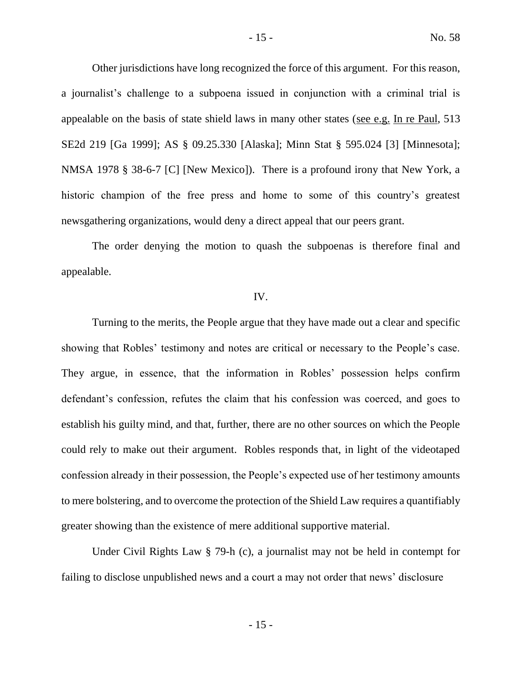Other jurisdictions have long recognized the force of this argument. For this reason, a journalist's challenge to a subpoena issued in conjunction with a criminal trial is appealable on the basis of state shield laws in many other states (see e.g. In re Paul, 513 SE2d 219 [Ga 1999]; AS § 09.25.330 [Alaska]; Minn Stat § 595.024 [3] [Minnesota]; NMSA 1978 § 38-6-7 [C] [New Mexico]). There is a profound irony that New York, a historic champion of the free press and home to some of this country's greatest newsgathering organizations, would deny a direct appeal that our peers grant.

The order denying the motion to quash the subpoenas is therefore final and appealable.

#### IV.

Turning to the merits, the People argue that they have made out a clear and specific showing that Robles' testimony and notes are critical or necessary to the People's case. They argue, in essence, that the information in Robles' possession helps confirm defendant's confession, refutes the claim that his confession was coerced, and goes to establish his guilty mind, and that, further, there are no other sources on which the People could rely to make out their argument. Robles responds that, in light of the videotaped confession already in their possession, the People's expected use of her testimony amounts to mere bolstering, and to overcome the protection of the Shield Law requires a quantifiably greater showing than the existence of mere additional supportive material.

Under Civil Rights Law § 79-h (c), a journalist may not be held in contempt for failing to disclose unpublished news and a court a may not order that news' disclosure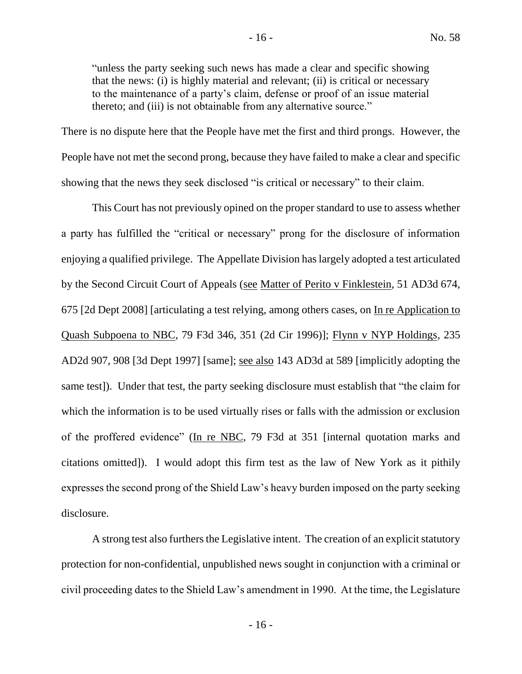"unless the party seeking such news has made a clear and specific showing that the news: (i) is highly material and relevant; (ii) is critical or necessary to the maintenance of a party's claim, defense or proof of an issue material thereto; and (iii) is not obtainable from any alternative source."

There is no dispute here that the People have met the first and third prongs. However, the People have not met the second prong, because they have failed to make a clear and specific showing that the news they seek disclosed "is critical or necessary" to their claim.

This Court has not previously opined on the proper standard to use to assess whether a party has fulfilled the "critical or necessary" prong for the disclosure of information enjoying a qualified privilege. The Appellate Division has largely adopted a test articulated by the Second Circuit Court of Appeals (see Matter of Perito v Finklestein, 51 AD3d 674, 675 [2d Dept 2008] [articulating a test relying, among others cases, on In re Application to Quash Subpoena to NBC, 79 F3d 346, 351 (2d Cir 1996)]; Flynn v NYP Holdings, 235 AD2d 907, 908 [3d Dept 1997] [same]; see also 143 AD3d at 589 [implicitly adopting the same test]). Under that test, the party seeking disclosure must establish that "the claim for which the information is to be used virtually rises or falls with the admission or exclusion of the proffered evidence" (In re NBC, 79 F3d at 351 [internal quotation marks and citations omitted]). I would adopt this firm test as the law of New York as it pithily expresses the second prong of the Shield Law's heavy burden imposed on the party seeking disclosure.

A strong test also furthers the Legislative intent. The creation of an explicit statutory protection for non-confidential, unpublished news sought in conjunction with a criminal or civil proceeding dates to the Shield Law's amendment in 1990. At the time, the Legislature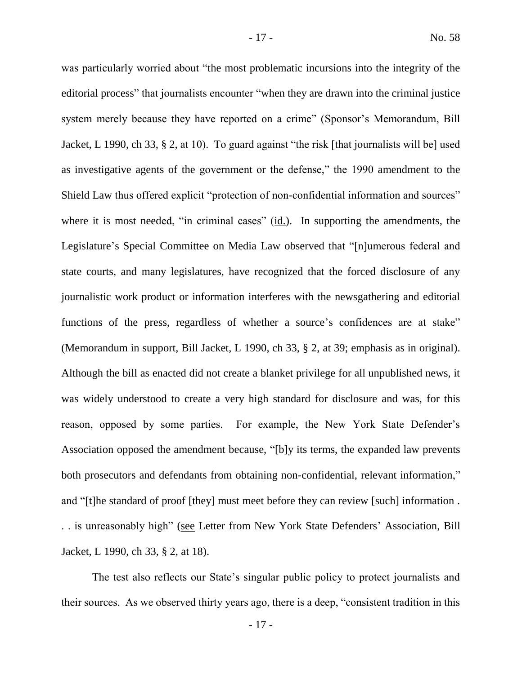was particularly worried about "the most problematic incursions into the integrity of the editorial process" that journalists encounter "when they are drawn into the criminal justice system merely because they have reported on a crime" (Sponsor's Memorandum, Bill Jacket, L 1990, ch 33, § 2, at 10). To guard against "the risk [that journalists will be] used as investigative agents of the government or the defense," the 1990 amendment to the Shield Law thus offered explicit "protection of non-confidential information and sources" where it is most needed, "in criminal cases" (id.). In supporting the amendments, the Legislature's Special Committee on Media Law observed that "[n]umerous federal and state courts, and many legislatures, have recognized that the forced disclosure of any journalistic work product or information interferes with the newsgathering and editorial functions of the press, regardless of whether a source's confidences are at stake" (Memorandum in support, Bill Jacket, L 1990, ch 33, § 2, at 39; emphasis as in original). Although the bill as enacted did not create a blanket privilege for all unpublished news, it was widely understood to create a very high standard for disclosure and was, for this reason, opposed by some parties. For example, the New York State Defender's Association opposed the amendment because, "[b]y its terms, the expanded law prevents both prosecutors and defendants from obtaining non-confidential, relevant information," and "[t]he standard of proof [they] must meet before they can review [such] information . . . is unreasonably high" (see Letter from New York State Defenders' Association, Bill Jacket, L 1990, ch 33, § 2, at 18).

The test also reflects our State's singular public policy to protect journalists and their sources. As we observed thirty years ago, there is a deep, "consistent tradition in this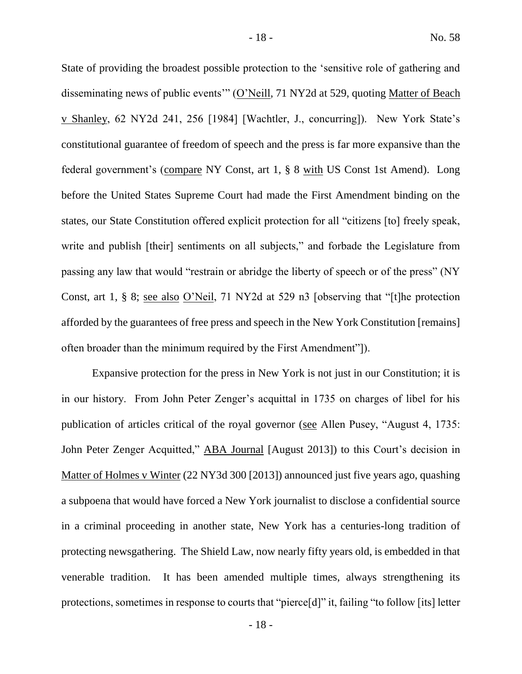State of providing the broadest possible protection to the 'sensitive role of gathering and disseminating news of public events'" (O'Neill, 71 NY2d at 529, quoting Matter of Beach v Shanley, 62 NY2d 241, 256 [1984] [Wachtler, J., concurring]). New York State's constitutional guarantee of freedom of speech and the press is far more expansive than the federal government's (compare NY Const, art 1, § 8 with US Const 1st Amend). Long before the United States Supreme Court had made the First Amendment binding on the states, our State Constitution offered explicit protection for all "citizens [to] freely speak, write and publish [their] sentiments on all subjects," and forbade the Legislature from passing any law that would "restrain or abridge the liberty of speech or of the press" (NY Const, art 1, § 8; see also O'Neil, 71 NY2d at 529 n3 [observing that "[t]he protection afforded by the guarantees of free press and speech in the New York Constitution [remains] often broader than the minimum required by the First Amendment"]).

Expansive protection for the press in New York is not just in our Constitution; it is in our history. From John Peter Zenger's acquittal in 1735 on charges of libel for his publication of articles critical of the royal governor (see Allen Pusey, "August 4, 1735: John Peter Zenger Acquitted," ABA Journal [August 2013]) to this Court's decision in Matter of Holmes v Winter (22 NY3d 300 [2013]) announced just five years ago, quashing a subpoena that would have forced a New York journalist to disclose a confidential source in a criminal proceeding in another state, New York has a centuries-long tradition of protecting newsgathering. The Shield Law, now nearly fifty years old, is embedded in that venerable tradition. It has been amended multiple times, always strengthening its protections, sometimes in response to courts that "pierce[d]" it, failing "to follow [its] letter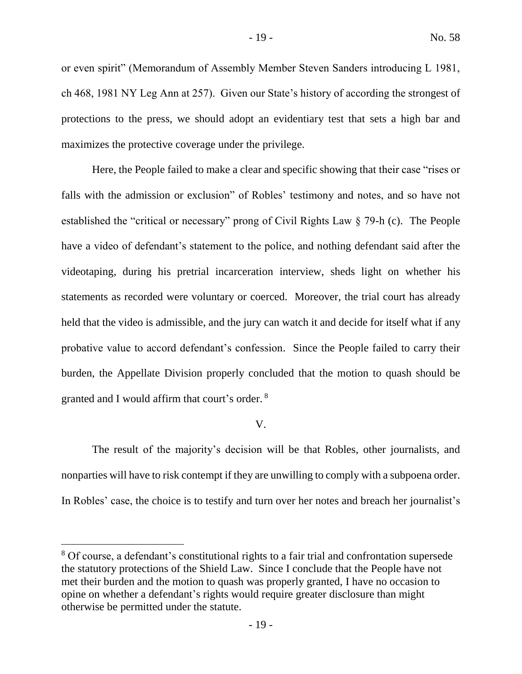or even spirit" (Memorandum of Assembly Member Steven Sanders introducing L 1981, ch 468, 1981 NY Leg Ann at 257). Given our State's history of according the strongest of protections to the press, we should adopt an evidentiary test that sets a high bar and maximizes the protective coverage under the privilege.

Here, the People failed to make a clear and specific showing that their case "rises or falls with the admission or exclusion" of Robles' testimony and notes, and so have not established the "critical or necessary" prong of Civil Rights Law § 79-h (c). The People have a video of defendant's statement to the police, and nothing defendant said after the videotaping, during his pretrial incarceration interview, sheds light on whether his statements as recorded were voluntary or coerced. Moreover, the trial court has already held that the video is admissible, and the jury can watch it and decide for itself what if any probative value to accord defendant's confession. Since the People failed to carry their burden, the Appellate Division properly concluded that the motion to quash should be granted and I would affirm that court's order. <sup>8</sup>

#### V.

The result of the majority's decision will be that Robles, other journalists, and nonparties will have to risk contempt if they are unwilling to comply with a subpoena order. In Robles' case, the choice is to testify and turn over her notes and breach her journalist's

<sup>&</sup>lt;sup>8</sup> Of course, a defendant's constitutional rights to a fair trial and confrontation supersede the statutory protections of the Shield Law. Since I conclude that the People have not met their burden and the motion to quash was properly granted, I have no occasion to opine on whether a defendant's rights would require greater disclosure than might otherwise be permitted under the statute.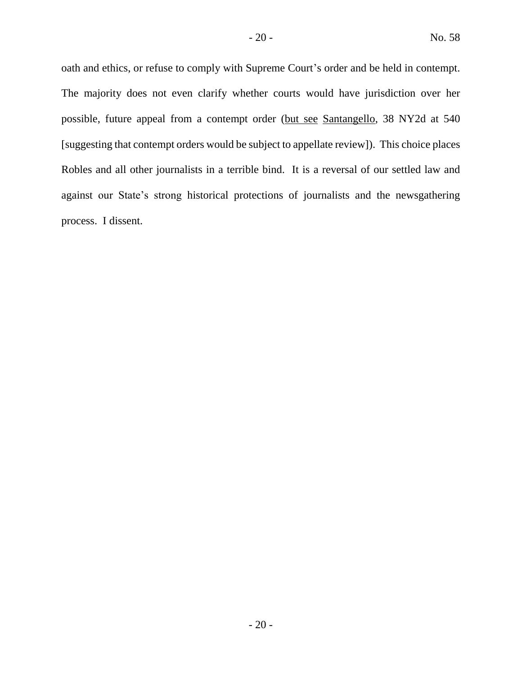oath and ethics, or refuse to comply with Supreme Court's order and be held in contempt. The majority does not even clarify whether courts would have jurisdiction over her possible, future appeal from a contempt order (but see Santangello, 38 NY2d at 540 [suggesting that contempt orders would be subject to appellate review]). This choice places Robles and all other journalists in a terrible bind. It is a reversal of our settled law and against our State's strong historical protections of journalists and the newsgathering process. I dissent.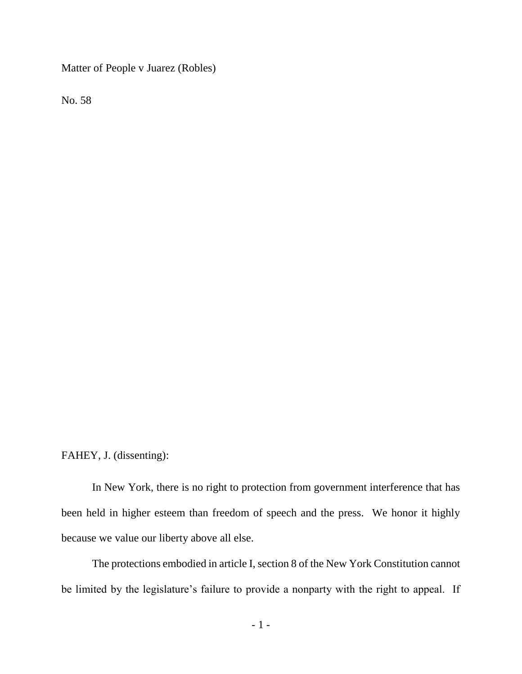Matter of People v Juarez (Robles)

No. 58

FAHEY, J. (dissenting):

In New York, there is no right to protection from government interference that has been held in higher esteem than freedom of speech and the press. We honor it highly because we value our liberty above all else.

The protections embodied in article I, section 8 of the New York Constitution cannot be limited by the legislature's failure to provide a nonparty with the right to appeal. If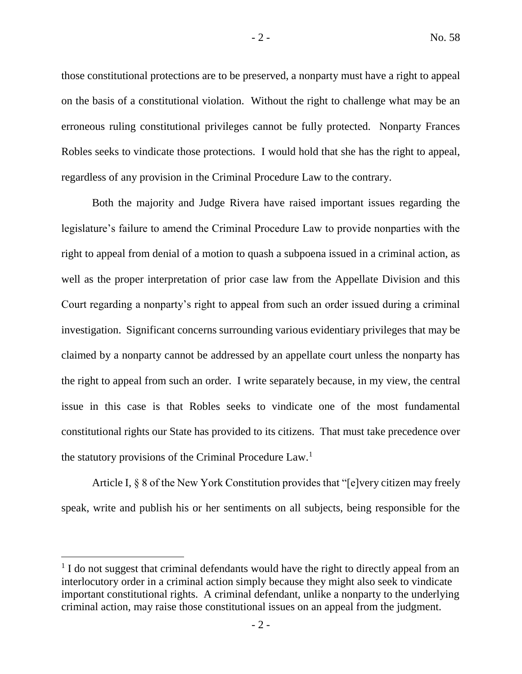those constitutional protections are to be preserved, a nonparty must have a right to appeal on the basis of a constitutional violation. Without the right to challenge what may be an erroneous ruling constitutional privileges cannot be fully protected. Nonparty Frances Robles seeks to vindicate those protections. I would hold that she has the right to appeal, regardless of any provision in the Criminal Procedure Law to the contrary.

Both the majority and Judge Rivera have raised important issues regarding the legislature's failure to amend the Criminal Procedure Law to provide nonparties with the right to appeal from denial of a motion to quash a subpoena issued in a criminal action, as well as the proper interpretation of prior case law from the Appellate Division and this Court regarding a nonparty's right to appeal from such an order issued during a criminal investigation. Significant concerns surrounding various evidentiary privileges that may be claimed by a nonparty cannot be addressed by an appellate court unless the nonparty has the right to appeal from such an order. I write separately because, in my view, the central issue in this case is that Robles seeks to vindicate one of the most fundamental constitutional rights our State has provided to its citizens. That must take precedence over the statutory provisions of the Criminal Procedure Law.<sup>1</sup>

Article I, § 8 of the New York Constitution provides that "[e]very citizen may freely speak, write and publish his or her sentiments on all subjects, being responsible for the

<sup>&</sup>lt;sup>1</sup> I do not suggest that criminal defendants would have the right to directly appeal from an interlocutory order in a criminal action simply because they might also seek to vindicate important constitutional rights. A criminal defendant, unlike a nonparty to the underlying criminal action, may raise those constitutional issues on an appeal from the judgment.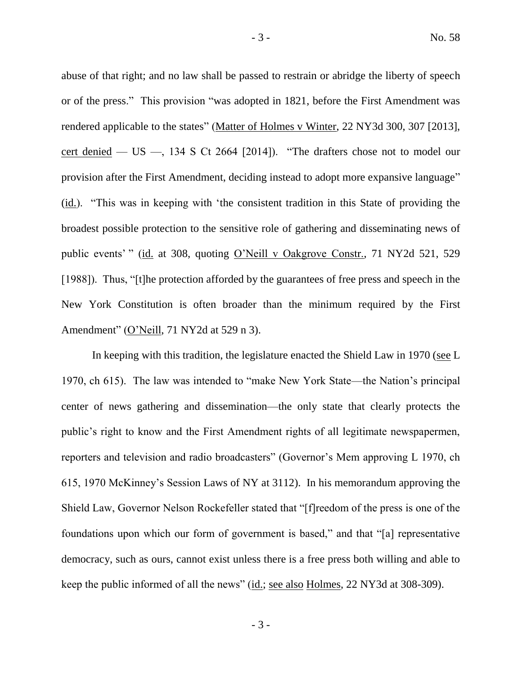abuse of that right; and no law shall be passed to restrain or abridge the liberty of speech or of the press." This provision "was adopted in 1821, before the First Amendment was rendered applicable to the states" (Matter of Holmes v Winter, 22 NY3d 300, 307 [2013], cert denied  $-$  US  $-$ , 134 S Ct 2664 [2014]). "The drafters chose not to model our provision after the First Amendment, deciding instead to adopt more expansive language" (id.). "This was in keeping with 'the consistent tradition in this State of providing the broadest possible protection to the sensitive role of gathering and disseminating news of public events' " (id. at 308, quoting O'Neill v Oakgrove Constr., 71 NY2d 521, 529 [1988]). Thus, "[t]he protection afforded by the guarantees of free press and speech in the New York Constitution is often broader than the minimum required by the First Amendment" (O'Neill, 71 NY2d at 529 n 3).

In keeping with this tradition, the legislature enacted the Shield Law in 1970 (see L 1970, ch 615). The law was intended to "make New York State—the Nation's principal center of news gathering and dissemination—the only state that clearly protects the public's right to know and the First Amendment rights of all legitimate newspapermen, reporters and television and radio broadcasters" (Governor's Mem approving L 1970, ch 615, 1970 McKinney's Session Laws of NY at 3112). In his memorandum approving the Shield Law, Governor Nelson Rockefeller stated that "[f]reedom of the press is one of the foundations upon which our form of government is based," and that "[a] representative democracy, such as ours, cannot exist unless there is a free press both willing and able to keep the public informed of all the news" (id.; see also Holmes, 22 NY3d at 308-309).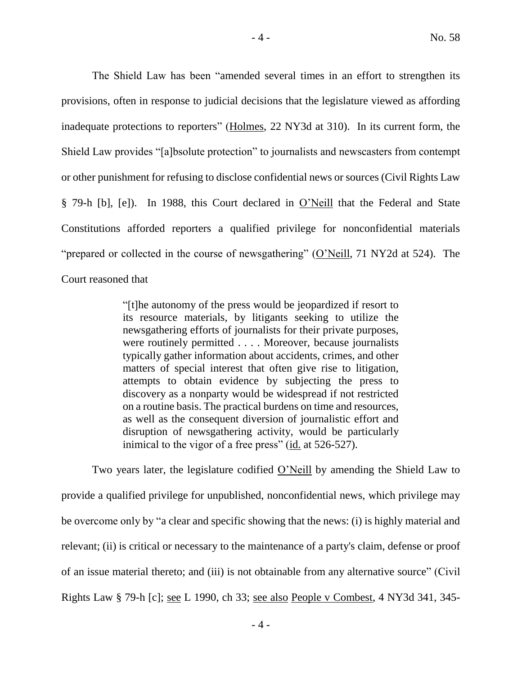The Shield Law has been "amended several times in an effort to strengthen its provisions, often in response to judicial decisions that the legislature viewed as affording inadequate protections to reporters" (Holmes, 22 NY3d at 310). In its current form, the Shield Law provides "[a]bsolute protection" to journalists and newscasters from contempt or other punishment for refusing to disclose confidential news or sources (Civil Rights Law § 79-h [b], [e]). In 1988, this Court declared in O'Neill that the Federal and State Constitutions afforded reporters a qualified privilege for nonconfidential materials "prepared or collected in the course of newsgathering" (O'Neill, 71 NY2d at 524). The Court reasoned that

> "[t]he autonomy of the press would be jeopardized if resort to its resource materials, by litigants seeking to utilize the newsgathering efforts of journalists for their private purposes, were routinely permitted . . . . Moreover, because journalists typically gather information about accidents, crimes, and other matters of special interest that often give rise to litigation, attempts to obtain evidence by subjecting the press to discovery as a nonparty would be widespread if not restricted on a routine basis. The practical burdens on time and resources, as well as the consequent diversion of journalistic effort and disruption of newsgathering activity, would be particularly inimical to the vigor of a free press" (id. at 526-527).

Two years later, the legislature codified O'Neill by amending the Shield Law to provide a qualified privilege for unpublished, nonconfidential news, which privilege may be overcome only by "a clear and specific showing that the news: (i) is highly material and relevant; (ii) is critical or necessary to the maintenance of a party's claim, defense or proof of an issue material thereto; and (iii) is not obtainable from any alternative source" (Civil Rights Law § 79-h [c]; see L 1990, ch 33; see also People v Combest, 4 NY3d 341, 345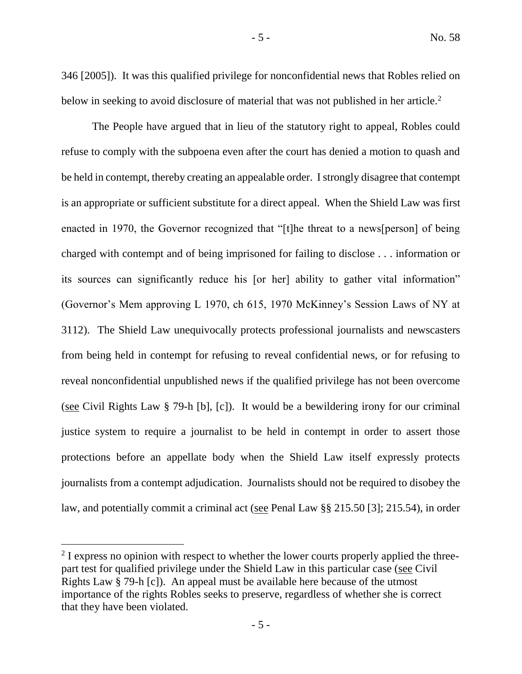346 [2005]). It was this qualified privilege for nonconfidential news that Robles relied on below in seeking to avoid disclosure of material that was not published in her article.<sup>2</sup>

The People have argued that in lieu of the statutory right to appeal, Robles could refuse to comply with the subpoena even after the court has denied a motion to quash and be held in contempt, thereby creating an appealable order. I strongly disagree that contempt is an appropriate or sufficient substitute for a direct appeal. When the Shield Law was first enacted in 1970, the Governor recognized that "[t]he threat to a news[person] of being charged with contempt and of being imprisoned for failing to disclose . . . information or its sources can significantly reduce his [or her] ability to gather vital information" (Governor's Mem approving L 1970, ch 615, 1970 McKinney's Session Laws of NY at 3112). The Shield Law unequivocally protects professional journalists and newscasters from being held in contempt for refusing to reveal confidential news, or for refusing to reveal nonconfidential unpublished news if the qualified privilege has not been overcome (see Civil Rights Law § 79-h [b], [c]). It would be a bewildering irony for our criminal justice system to require a journalist to be held in contempt in order to assert those protections before an appellate body when the Shield Law itself expressly protects journalists from a contempt adjudication. Journalists should not be required to disobey the law, and potentially commit a criminal act (see Penal Law §§ 215.50 [3]; 215.54), in order

 $2$  I express no opinion with respect to whether the lower courts properly applied the threepart test for qualified privilege under the Shield Law in this particular case (see Civil Rights Law § 79-h [c]). An appeal must be available here because of the utmost importance of the rights Robles seeks to preserve, regardless of whether she is correct that they have been violated.